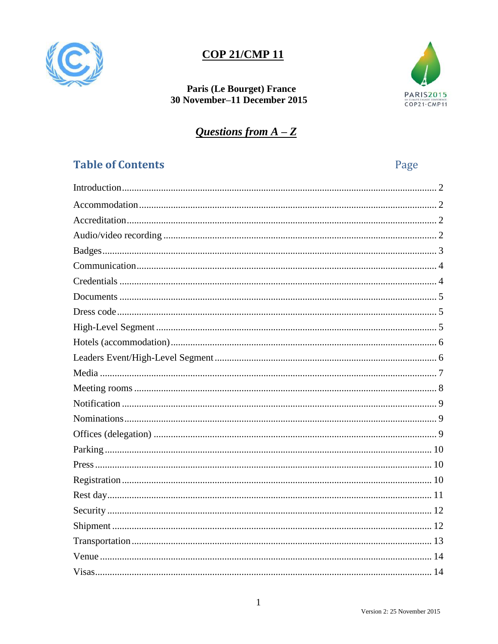

# **COP 21/CMP 11**

### Paris (Le Bourget) France 30 November-11 December 2015



# Questions from  $A - Z$

# <span id="page-0-0"></span>**Table of Contents**

Page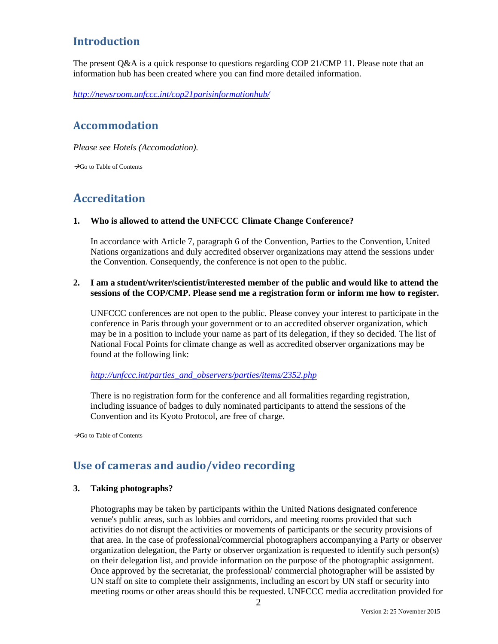## <span id="page-1-0"></span>**Introduction**

The present Q&A is a quick response to questions regarding COP 21/CMP 11. Please note that an information hub has been created where you can find more detailed information.

<span id="page-1-1"></span>*<http://newsroom.unfccc.int/cop21parisinformationhub/>*

### **Accommodation**

*Please see Hotels (Accomodation).*

<span id="page-1-2"></span>Go to [Table of Contents](#page-0-0)

# **Accreditation**

### **1. Who is allowed to attend the UNFCCC Climate Change Conference?**

In accordance with Article 7, paragraph 6 of the Convention, Parties to the Convention, United Nations organizations and duly accredited observer organizations may attend the sessions under the Convention. Consequently, the conference is not open to the public.

### **2. I am a student/writer/scientist/interested member of the public and would like to attend the sessions of the COP/CMP. Please send me a registration form or inform me how to register.**

UNFCCC conferences are not open to the public. Please convey your interest to participate in the conference in Paris through your government or to an accredited observer organization, which may be in a position to include your name as part of its delegation, if they so decided. The list of National Focal Points for climate change as well as accredited observer organizations may be found at the following link:

*[http://unfccc.int/parties\\_and\\_observers/parties/items/2352.php](http://unfccc.int/parties_and_observers/parties/items/2352.php)*

There is no registration form for the conference and all formalities regarding registration, including issuance of badges to duly nominated participants to attend the sessions of the Convention and its Kyoto Protocol, are free of charge.

<span id="page-1-3"></span> $\rightarrow$ Go to [Table of Contents](#page-0-0)

### **Use of cameras and audio/video recording**

### **3. Taking photographs?**

Photographs may be taken by participants within the United Nations designated conference venue's public areas, such as lobbies and corridors, and meeting rooms provided that such activities do not disrupt the activities or movements of participants or the security provisions of that area. In the case of professional/commercial photographers accompanying a Party or observer organization delegation, the Party or observer organization is requested to identify such person(s) on their delegation list, and provide information on the purpose of the photographic assignment. Once approved by the secretariat, the professional/ commercial photographer will be assisted by UN staff on site to complete their assignments, including an escort by UN staff or security into meeting rooms or other areas should this be requested. UNFCCC media accreditation provided for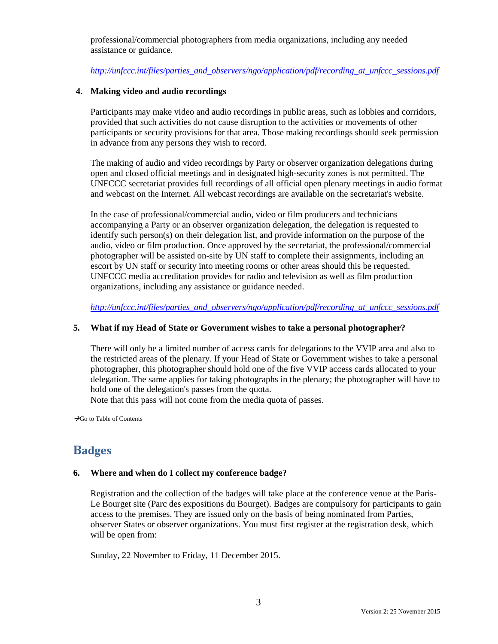professional/commercial photographers from media organizations, including any needed assistance or guidance.

*[http://unfccc.int/files/parties\\_and\\_observers/ngo/application/pdf/recording\\_at\\_unfccc\\_sessions.pdf](http://unfccc.int/files/parties_and_observers/ngo/application/pdf/recording_at_unfccc_sessions.pdf)*

### **4. Making video and audio recordings**

Participants may make video and audio recordings in public areas, such as lobbies and corridors, provided that such activities do not cause disruption to the activities or movements of other participants or security provisions for that area. Those making recordings should seek permission in advance from any persons they wish to record.

The making of audio and video recordings by Party or observer organization delegations during open and closed official meetings and in designated high-security zones is not permitted. The UNFCCC secretariat provides full recordings of all official open plenary meetings in audio format and webcast on the Internet. All webcast recordings are available on the secretariat's website.

In the case of professional/commercial audio, video or film producers and technicians accompanying a Party or an observer organization delegation, the delegation is requested to identify such person(s) on their delegation list, and provide information on the purpose of the audio, video or film production. Once approved by the secretariat, the professional/commercial photographer will be assisted on-site by UN staff to complete their assignments, including an escort by UN staff or security into meeting rooms or other areas should this be requested. UNFCCC media accreditation provides for radio and television as well as film production organizations, including any assistance or guidance needed.

*[http://unfccc.int/files/parties\\_and\\_observers/ngo/application/pdf/recording\\_at\\_unfccc\\_sessions.pdf](http://unfccc.int/files/parties_and_observers/ngo/application/pdf/recording_at_unfccc_sessions.pdf)*

### **5. What if my Head of State or Government wishes to take a personal photographer?**

There will only be a limited number of access cards for delegations to the VVIP area and also to the restricted areas of the plenary. If your Head of State or Government wishes to take a personal photographer, this photographer should hold one of the five VVIP access cards allocated to your delegation. The same applies for taking photographs in the plenary; the photographer will have to hold one of the delegation's passes from the quota.

Note that this pass will not come from the media quota of passes.

<span id="page-2-0"></span> $\rightarrow$ Go to [Table of Contents](#page-0-0)

## **Badges**

### **6. Where and when do I collect my conference badge?**

Registration and the collection of the badges will take place at the conference venue at the Paris-Le Bourget site (Parc des expositions du Bourget). Badges are compulsory for participants to gain access to the premises. They are issued only on the basis of being nominated from Parties, observer States or observer organizations. You must first register at the registration desk, which will be open from:

Sunday, 22 November to Friday, 11 December 2015.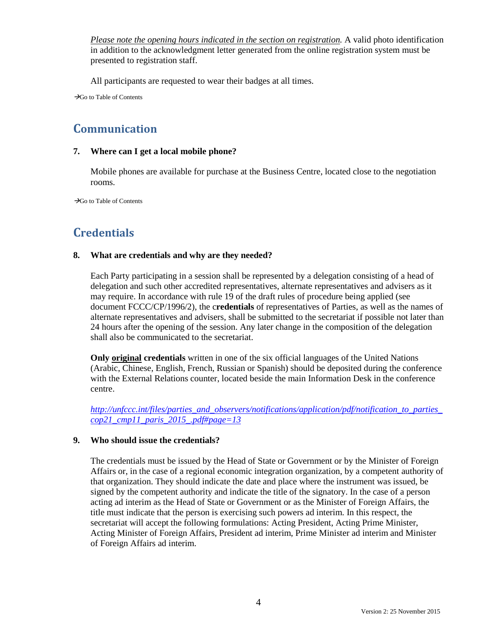*Please note the opening hours indicated in the section on registration.* A valid photo identification in addition to the acknowledgment letter generated from the online registration system must be presented to registration staff.

All participants are requested to wear their badges at all times.

<span id="page-3-0"></span> $\rightarrow$ Go to [Table of Contents](#page-0-0)

## **Communication**

### **7. Where can I get a local mobile phone?**

Mobile phones are available for purchase at the Business Centre, located close to the negotiation rooms.

<span id="page-3-1"></span> $\rightarrow$ Go to [Table of Contents](#page-0-0)

## **Credentials**

### **8. What are credentials and why are they needed?**

Each Party participating in a session shall be represented by a delegation consisting of a head of delegation and such other accredited representatives, alternate representatives and advisers as it may require. In accordance with rule 19 of the draft rules of procedure being applied (see document FCCC/CP/1996/2), the c**redentials** of representatives of Parties, as well as the names of alternate representatives and advisers, shall be submitted to the secretariat if possible not later than 24 hours after the opening of the session. Any later change in the composition of the delegation shall also be communicated to the secretariat.

**Only original credentials** written in one of the six official languages of the United Nations (Arabic, Chinese, English, French, Russian or Spanish) should be deposited during the conference with the External Relations counter, located beside the main Information Desk in the conference centre.

*[http://unfccc.int/files/parties\\_and\\_observers/notifications/application/pdf/notification\\_to\\_parties\\_](http://unfccc.int/files/parties_and_observers/notifications/application/pdf/notification_to_parties_cop21_cmp11_paris_2015_.pdf#page=13) [cop21\\_cmp11\\_paris\\_2015\\_.pdf#page=13](http://unfccc.int/files/parties_and_observers/notifications/application/pdf/notification_to_parties_cop21_cmp11_paris_2015_.pdf#page=13)*

### **9. Who should issue the credentials?**

The credentials must be issued by the Head of State or Government or by the Minister of Foreign Affairs or, in the case of a regional economic integration organization, by a competent authority of that organization. They should indicate the date and place where the instrument was issued, be signed by the competent authority and indicate the title of the signatory. In the case of a person acting ad interim as the Head of State or Government or as the Minister of Foreign Affairs, the title must indicate that the person is exercising such powers ad interim. In this respect, the secretariat will accept the following formulations: Acting President, Acting Prime Minister, Acting Minister of Foreign Affairs, President ad interim, Prime Minister ad interim and Minister of Foreign Affairs ad interim.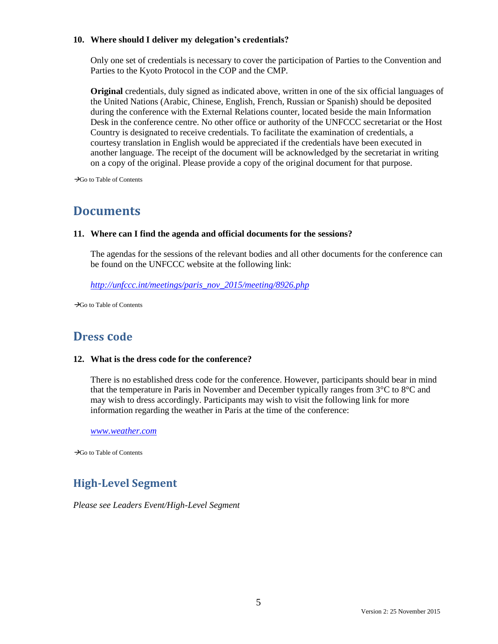### **10. Where should I deliver my delegation's credentials?**

Only one set of credentials is necessary to cover the participation of Parties to the Convention and Parties to the Kyoto Protocol in the COP and the CMP.

**Original** credentials, duly signed as indicated above, written in one of the six official languages of the United Nations (Arabic, Chinese, English, French, Russian or Spanish) should be deposited during the conference with the External Relations counter, located beside the main Information Desk in the conference centre. No other office or authority of the UNFCCC secretariat or the Host Country is designated to receive credentials. To facilitate the examination of credentials, a courtesy translation in English would be appreciated if the credentials have been executed in another language. The receipt of the document will be acknowledged by the secretariat in writing on a copy of the original. Please provide a copy of the original document for that purpose.

<span id="page-4-0"></span> $\rightarrow$ Go to [Table of Contents](#page-0-0)

# **Documents**

### **11. Where can I find the agenda and official documents for the sessions?**

The agendas for the sessions of the relevant bodies and all other documents for the conference can be found on the UNFCCC website at the following link:

*[http://unfccc.int/meetings/paris\\_nov\\_2015/meeting/8926.php](http://unfccc.int/meetings/paris_nov_2015/meeting/8926.php)*

<span id="page-4-1"></span> $\rightarrow$ Go to [Table of Contents](#page-0-0)

## **Dress code**

### **12. What is the dress code for the conference?**

There is no established dress code for the conference. However, participants should bear in mind that the temperature in Paris in November and December typically ranges from 3°C to 8°C and may wish to dress accordingly. Participants may wish to visit the following link for more information regarding the weather in Paris at the time of the conference:

*[www.weather.com](http://www.weather.com/)*

<span id="page-4-2"></span> $\rightarrow$ Go to [Table of Contents](#page-0-0)

## **High-Level Segment**

<span id="page-4-3"></span>*Please see Leaders Event/High-Level Segment*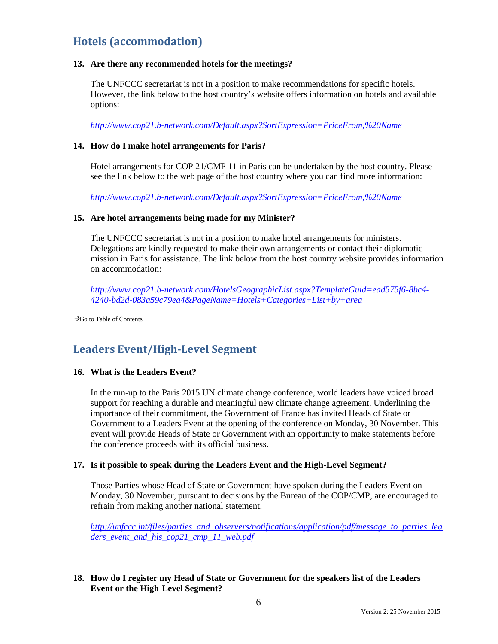## **Hotels (accommodation)**

### **13. Are there any recommended hotels for the meetings?**

The UNFCCC secretariat is not in a position to make recommendations for specific hotels. However, the link below to the host country's website offers information on hotels and available options:

*<http://www.cop21.b-network.com/Default.aspx?SortExpression=PriceFrom,%20Name>*

### **14. How do I make hotel arrangements for Paris?**

Hotel arrangements for COP 21/CMP 11 in Paris can be undertaken by the host country. Please see the link below to the web page of the host country where you can find more information:

*<http://www.cop21.b-network.com/Default.aspx?SortExpression=PriceFrom,%20Name>*

### **15. Are hotel arrangements being made for my Minister?**

The UNFCCC secretariat is not in a position to make hotel arrangements for ministers. Delegations are kindly requested to make their own arrangements or contact their diplomatic mission in Paris for assistance. The link below from the host country website provides information on accommodation:

*[http://www.cop21.b-network.com/HotelsGeographicList.aspx?TemplateGuid=ead575f6-8bc4-](http://www.cop21.b-network.com/HotelsGeographicList.aspx?TemplateGuid=ead575f6-8bc4-4240-bd2d-083a59c79ea4&PageName=Hotels+Categories+List+by+area) [4240-bd2d-083a59c79ea4&PageName=Hotels+Categories+List+by+area](http://www.cop21.b-network.com/HotelsGeographicList.aspx?TemplateGuid=ead575f6-8bc4-4240-bd2d-083a59c79ea4&PageName=Hotels+Categories+List+by+area)*

<span id="page-5-0"></span> $\rightarrow$ Go to [Table of Contents](#page-0-0)

### **Leaders Event/High-Level Segment**

### **16. What is the Leaders Event?**

In the run-up to the Paris 2015 UN climate change conference, world leaders have voiced broad support for reaching a durable and meaningful new climate change agreement. Underlining the importance of their commitment, the Government of France has invited Heads of State or Government to a Leaders Event at the opening of the conference on Monday, 30 November. This event will provide Heads of State or Government with an opportunity to make statements before the conference proceeds with its official business.

### **17. Is it possible to speak during the Leaders Event and the High-Level Segment?**

Those Parties whose Head of State or Government have spoken during the Leaders Event on Monday, 30 November, pursuant to decisions by the Bureau of the COP/CMP, are encouraged to refrain from making another national statement.

*[http://unfccc.int/files/parties\\_and\\_observers/notifications/application/pdf/message\\_to\\_parties\\_lea](http://unfccc.int/files/parties_and_observers/notifications/application/pdf/message_to_parties_leaders_event_and_hls_cop21_cmp_11_web.pdf) [ders\\_event\\_and\\_hls\\_cop21\\_cmp\\_11\\_web.pdf](http://unfccc.int/files/parties_and_observers/notifications/application/pdf/message_to_parties_leaders_event_and_hls_cop21_cmp_11_web.pdf)*

**18. How do I register my Head of State or Government for the speakers list of the Leaders Event or the High-Level Segment?**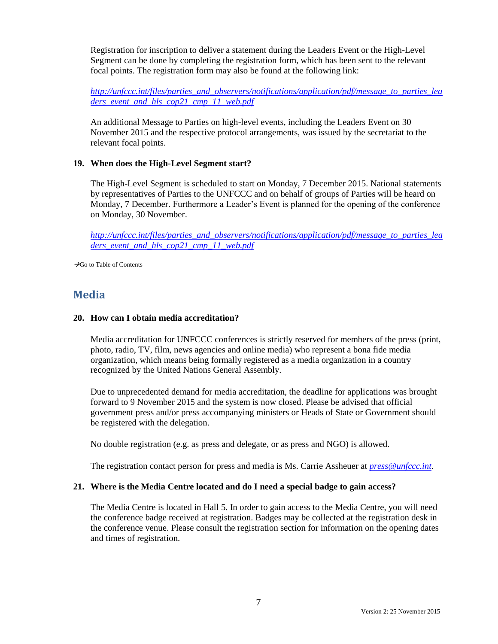Registration for inscription to deliver a statement during the Leaders Event or the High-Level Segment can be done by completing the registration form, which has been sent to the relevant focal points. The registration form may also be found at the following link:

*[http://unfccc.int/files/parties\\_and\\_observers/notifications/application/pdf/message\\_to\\_parties\\_lea](http://unfccc.int/files/parties_and_observers/notifications/application/pdf/message_to_parties_leaders_event_and_hls_cop21_cmp_11_web.pdf) [ders\\_event\\_and\\_hls\\_cop21\\_cmp\\_11\\_web.pdf](http://unfccc.int/files/parties_and_observers/notifications/application/pdf/message_to_parties_leaders_event_and_hls_cop21_cmp_11_web.pdf)*

An additional Message to Parties on high-level events, including the Leaders Event on 30 November 2015 and the respective protocol arrangements, was issued by the secretariat to the relevant focal points.

### **19. When does the High-Level Segment start?**

The High-Level Segment is scheduled to start on Monday, 7 December 2015. National statements by representatives of Parties to the UNFCCC and on behalf of groups of Parties will be heard on Monday, 7 December. Furthermore a Leader's Event is planned for the opening of the conference on Monday, 30 November.

*[http://unfccc.int/files/parties\\_and\\_observers/notifications/application/pdf/message\\_to\\_parties\\_lea](http://unfccc.int/files/parties_and_observers/notifications/application/pdf/message_to_parties_leaders_event_and_hls_cop21_cmp_11_web.pdf) [ders\\_event\\_and\\_hls\\_cop21\\_cmp\\_11\\_web.pdf](http://unfccc.int/files/parties_and_observers/notifications/application/pdf/message_to_parties_leaders_event_and_hls_cop21_cmp_11_web.pdf)*

<span id="page-6-0"></span>Go to [Table of Contents](#page-0-0)

### **Media**

#### **20. How can I obtain media accreditation?**

Media accreditation for UNFCCC conferences is strictly reserved for members of the press (print, photo, radio, TV, film, news agencies and online media) who represent a bona fide media organization, which means being formally registered as a media organization in a country recognized by the United Nations General Assembly.

Due to unprecedented demand for media accreditation, the deadline for applications was brought forward to 9 November 2015 and the system is now closed. Please be advised that official government press and/or press accompanying ministers or Heads of State or Government should be registered with the delegation.

No double registration (e.g. as press and delegate, or as press and NGO) is allowed.

The registration contact person for press and media is Ms. Carrie Assheuer at *[press@unfccc.int.](mailto:press@unfccc.int)*

#### **21. Where is the Media Centre located and do I need a special badge to gain access?**

The Media Centre is located in Hall 5. In order to gain access to the Media Centre, you will need the conference badge received at registration. Badges may be collected at the registration desk in the conference venue. Please consult the registration section for information on the opening dates and times of registration.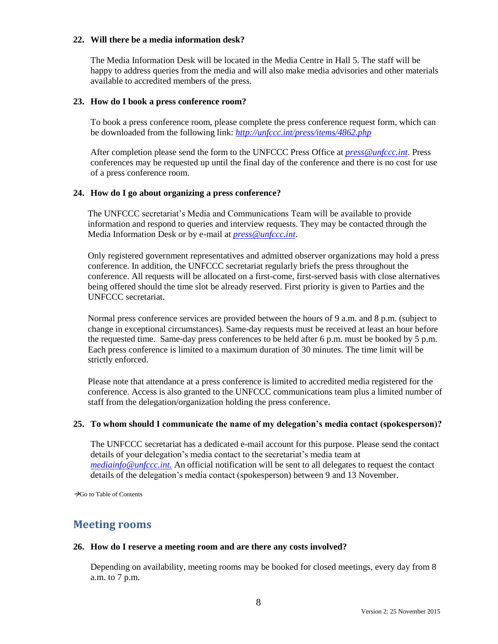### **22. Will there be a media information desk?**

The Media Information Desk will be located in the Media Centre in Hall 5. The staff will be happy to address queries from the media and will also make media advisories and other materials available to accredited members of the press.

### **23. How do I book a press conference room?**

To book a press conference room, please complete the [press conference request form,](http://unfccc.int/files/press/application/vnd.openxmlformats-officedocument.wordprocessingml.document/20152402_press_conference_request_form.docx) which can be downloaded from the following link: *<http://unfccc.int/press/items/4862.php>*

After completion please send the form to the [UNFCCC Press Office](mailto:pressconf@unfccc.int) at *[press@unfccc.int](mailto:press@unfccc.int)*. Press conferences may be requested up until the final day of the conference and there is no cost for use of a press conference room.

### **24. How do I go about organizing a press conference?**

The UNFCCC secretariat's Media and Communications Team will be available to provide information and respond to queries and interview requests. They may be contacted through the Media Information Desk or by e-mail at *press@unfccc.int*.

Only registered government representatives and [admitted observer organizations](http://maindb.unfccc.int/public/ngo.pl) may hold a press conference. In addition, the UNFCCC secretariat regularly briefs the press throughout the conference. All requests will be allocated on a first-come, first-served basis with close alternatives being offered should the time slot be already reserved. First priority is given to Parties and the UNFCCC secretariat.

Normal press conference services are provided between the hours of 9 a.m. and 8 p.m. (subject to change in exceptional circumstances). Same-day requests must be received at least an hour before the requested time. Same-day press conferences to be held after 6 p.m. must be booked by 5 p.m. Each press conference is limited to a maximum duration of 30 minutes. The time limit will be strictly enforced.

Please note that attendance at a press conference is limited to accredited media registered for the conference. Access is also granted to the UNFCCC communications team plus a limited number of staff from the delegation/organization holding the press conference.

### **25. To whom should I communicate the name of my delegation's media contact (spokesperson)?**

The UNFCCC secretariat has a dedicated e-mail account for this purpose. Please send the contact details of your delegation's media contact to the secretariat's media team at *[mediainfo@unfccc.int.](mailto:mediainfo@unfccc.int)* An official notification will be sent to all delegates to request the contact details of the delegation's media contact (spokesperson) between 9 and 13 November.

<span id="page-7-0"></span> $\rightarrow$ Go to [Table of Contents](#page-0-0)

### **Meeting rooms**

#### **26. How do I reserve a meeting room and are there any costs involved?**

Depending on availability, meeting rooms may be booked for closed meetings, every day from 8 a.m. to 7 p.m.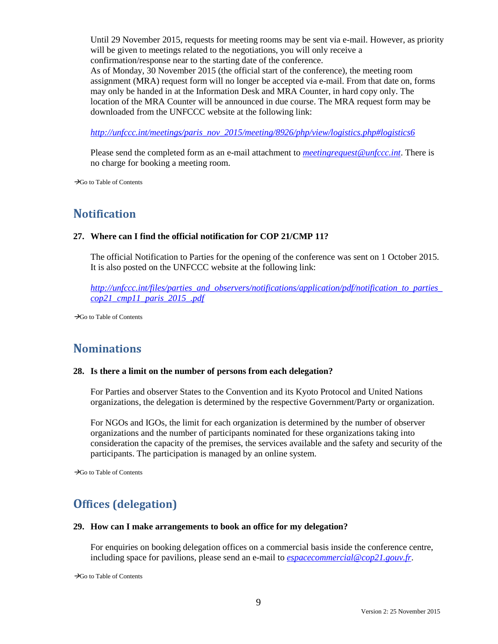Until 29 November 2015, requests for meeting rooms may be sent via e-mail. However, as priority will be given to meetings related to the negotiations, you will only receive a confirmation/response near to the starting date of the conference.

As of Monday, 30 November 2015 (the official start of the conference), the meeting room assignment (MRA) request form will no longer be accepted via e-mail. From that date on, forms may only be handed in at the Information Desk and MRA Counter, in hard copy only. The location of the MRA Counter will be announced in due course. The MRA request form may be downloaded from the UNFCCC website at the following link:

*[http://unfccc.int/meetings/paris\\_nov\\_2015/meeting/8926/php/view/logistics.php#logistics6](http://unfccc.int/meetings/paris_nov_2015/meeting/8926/php/view/logistics.php#logistics6)*

Please send the completed form as an e-mail attachment to *[meetingrequest@unfccc.int](mailto:meetingrequest@unfccc.int)*. There is no charge for booking a meeting room.

<span id="page-8-0"></span> $\rightarrow$ Go to [Table of Contents](#page-0-0)

### **Notification**

### **27. Where can I find the official notification for COP 21/CMP 11?**

The official Notification to Parties for the opening of the conference was sent on 1 October 2015. It is also posted on the UNFCCC website at the following link:

*[http://unfccc.int/files/parties\\_and\\_observers/notifications/application/pdf/notification\\_to\\_parties\\_](http://unfccc.int/files/parties_and_observers/notifications/application/pdf/notification_to_parties_cop21_cmp11_paris_2015_.pdf) [cop21\\_cmp11\\_paris\\_2015\\_.pdf](http://unfccc.int/files/parties_and_observers/notifications/application/pdf/notification_to_parties_cop21_cmp11_paris_2015_.pdf)*

<span id="page-8-1"></span>Go to [Table of Contents](#page-0-0)

## **Nominations**

#### **28. Is there a limit on the number of persons from each delegation?**

For Parties and observer States to the Convention and its Kyoto Protocol and United Nations organizations, the delegation is determined by the respective Government/Party or organization.

For NGOs and IGOs, the limit for each organization is determined by the number of observer organizations and the number of participants nominated for these organizations taking into consideration the capacity of the premises, the services available and the safety and security of the participants. The participation is managed by an online system.

<span id="page-8-2"></span> $\rightarrow$ Go to [Table of Contents](#page-0-0)

## **Offices (delegation)**

#### **29. How can I make arrangements to book an office for my delegation?**

For enquiries on booking delegation offices on a commercial basis inside the conference centre, including space for pavilions, please send an e-mail to *[espacecommercial@cop21.gouv.fr](mailto:espacecommercial@cop21.gouv.fr)*.

 $\rightarrow$ Go to [Table of Contents](#page-0-0)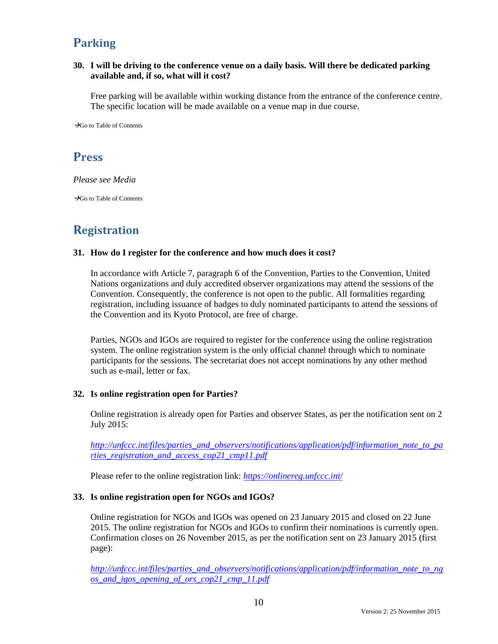# <span id="page-9-0"></span>**Parking**

### **30. I will be driving to the conference venue on a daily basis. Will there be dedicated parking available and, if so, what will it cost?**

Free parking will be available within working distance from the entrance of the conference centre. The specific location will be made available on a venue map in due course.

<span id="page-9-1"></span> $\rightarrow$ Go to [Table of Contents](#page-0-0)

### **Press**

*Please see Media*

<span id="page-9-2"></span> $\rightarrow$ Go to [Table of Contents](#page-0-0)

## **Registration**

### **31. How do I register for the conference and how much does it cost?**

In accordance with Article 7, paragraph 6 of the Convention, Parties to the Convention, United Nations organizations and duly accredited observer organizations may attend the sessions of the Convention. Consequently, the conference is not open to the public. All formalities regarding registration, including issuance of badges to duly nominated participants to attend the sessions of the Convention and its Kyoto Protocol, are free of charge.

Parties, NGOs and IGOs are required to register for the conference using the online registration system. The online registration system is the only official channel through which to nominate participants for the sessions. The secretariat does not accept nominations by any other method such as e-mail, letter or fax.

### **32. Is online registration open for Parties?**

Online registration is already open for Parties and observer States, as per the notification sent on 2 July 2015:

*[http://unfccc.int/files/parties\\_and\\_observers/notifications/application/pdf/information\\_note\\_to\\_pa](http://unfccc.int/files/parties_and_observers/notifications/application/pdf/information_note_to_parties_registration_and_access_cop21_cmp11.pdf) [rties\\_registration\\_and\\_access\\_cop21\\_cmp11.pdf](http://unfccc.int/files/parties_and_observers/notifications/application/pdf/information_note_to_parties_registration_and_access_cop21_cmp11.pdf)*

Please refer to the online registration link: *https://onlinereg.unfccc.int/*

### **33. Is online registration open for NGOs and IGOs?**

Online registration for NGOs and IGOs was opened on 23 January 2015 and closed on 22 June 2015. The online registration for NGOs and IGOs to confirm their nominations is currently open. Confirmation closes on 26 November 2015, as per the notification sent on 23 January 2015 (first page):

*[http://unfccc.int/files/parties\\_and\\_observers/notifications/application/pdf/information\\_note\\_to\\_ng](http://unfccc.int/files/parties_and_observers/notifications/application/pdf/information_note_to_ngos_and_igos_opening_of_ors_cop21_cmp_11.pdf) [os\\_and\\_igos\\_opening\\_of\\_ors\\_cop21\\_cmp\\_11.pdf](http://unfccc.int/files/parties_and_observers/notifications/application/pdf/information_note_to_ngos_and_igos_opening_of_ors_cop21_cmp_11.pdf)*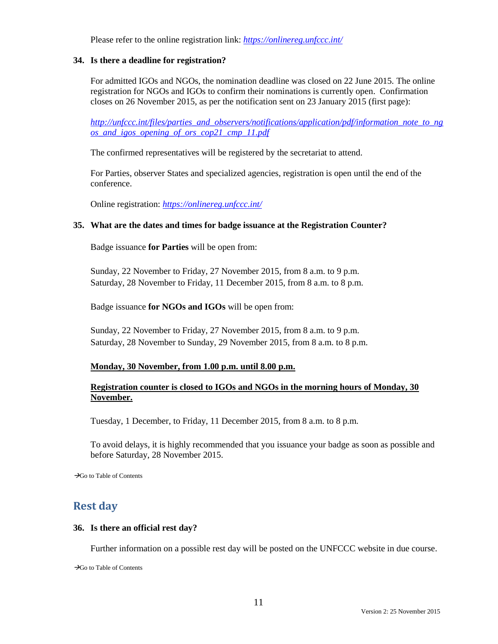Please refer to the online registration link: *https://onlinereg.unfccc.int/*

### **34. Is there a deadline for registration?**

For admitted IGOs and NGOs, the nomination deadline was closed on 22 June 2015. The online registration for NGOs and IGOs to confirm their nominations is currently open. Confirmation closes on 26 November 2015, as per the notification sent on 23 January 2015 (first page):

*[http://unfccc.int/files/parties\\_and\\_observers/notifications/application/pdf/information\\_note\\_to\\_ng](http://unfccc.int/files/parties_and_observers/notifications/application/pdf/information_note_to_ngos_and_igos_opening_of_ors_cop21_cmp_11.pdf) [os\\_and\\_igos\\_opening\\_of\\_ors\\_cop21\\_cmp\\_11.pdf](http://unfccc.int/files/parties_and_observers/notifications/application/pdf/information_note_to_ngos_and_igos_opening_of_ors_cop21_cmp_11.pdf)*

The confirmed representatives will be registered by the secretariat to attend.

For Parties, observer States and specialized agencies, registration is open until the end of the conference.

Online registration: *<https://onlinereg.unfccc.int/>*

### **35. What are the dates and times for badge issuance at the Registration Counter?**

Badge issuance **for Parties** will be open from:

Sunday, 22 November to Friday, 27 November 2015, from 8 a.m. to 9 p.m. Saturday, 28 November to Friday, 11 December 2015, from 8 a.m. to 8 p.m.

Badge issuance **for NGOs and IGOs** will be open from:

Sunday, 22 November to Friday, 27 November 2015, from 8 a.m. to 9 p.m. Saturday, 28 November to Sunday, 29 November 2015, from 8 a.m. to 8 p.m.

### **Monday, 30 November, from 1.00 p.m. until 8.00 p.m.**

### **Registration counter is closed to IGOs and NGOs in the morning hours of Monday, 30 November.**

Tuesday, 1 December, to Friday, 11 December 2015, from 8 a.m. to 8 p.m.

To avoid delays, it is highly recommended that you issuance your badge as soon as possible and before Saturday, 28 November 2015.

<span id="page-10-0"></span> $\rightarrow$ Go to [Table of Contents](#page-0-0)

### **Rest day**

#### **36. Is there an official rest day?**

Further information on a possible rest day will be posted on the UNFCCC website in due course.

 $\rightarrow$ Go to [Table of Contents](#page-0-0)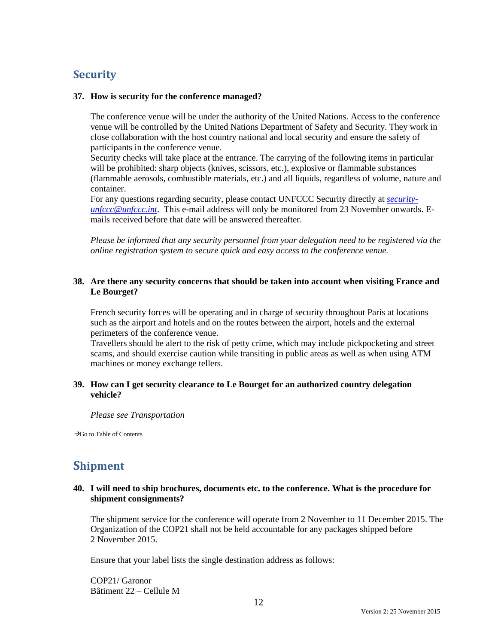## <span id="page-11-0"></span>**Security**

### **37. How is security for the conference managed?**

The conference venue will be under the authority of the United Nations. Access to the conference venue will be controlled by the United Nations Department of Safety and Security. They work in close collaboration with the host country national and local security and ensure the safety of participants in the conference venue.

Security checks will take place at the entrance. The carrying of the following items in particular will be prohibited: sharp objects (knives, scissors, etc.), explosive or flammable substances (flammable aerosols, combustible materials, etc.) and all liquids, regardless of volume, nature and container.

For any questions regarding security, please contact UNFCCC Security directly at *[security](mailto:security-unfccc@unfccc.int)[unfccc@unfccc.int](mailto:security-unfccc@unfccc.int)*. This e-mail address will only be monitored from 23 November onwards. Emails received before that date will be answered thereafter.

*Please be informed that any security personnel from your delegation need to be registered via the online registration system to secure quick and easy access to the conference venue.*

### **38. Are there any security concerns that should be taken into account when visiting France and Le Bourget?**

French security forces will be operating and in charge of security throughout Paris at locations such as the airport and hotels and on the routes between the airport, hotels and the external perimeters of the conference venue.

Travellers should be alert to the risk of petty crime, which may include pickpocketing and street scams, and should exercise caution while transiting in public areas as well as when using ATM machines or money exchange tellers.

### **39. How can I get security clearance to Le Bourget for an authorized country delegation vehicle?**

*Please see Transportation*

<span id="page-11-1"></span> $\rightarrow$ Go to [Table of Contents](#page-0-0)

## **Shipment**

### **40. I will need to ship brochures, documents etc. to the conference. What is the procedure for shipment consignments?**

The shipment service for the conference will operate from 2 November to 11 December 2015. The Organization of the COP21 shall not be held accountable for any packages shipped before 2 November 2015.

Ensure that your label lists the single destination address as follows:

COP21/ Garonor Bâtiment 22 – Cellule M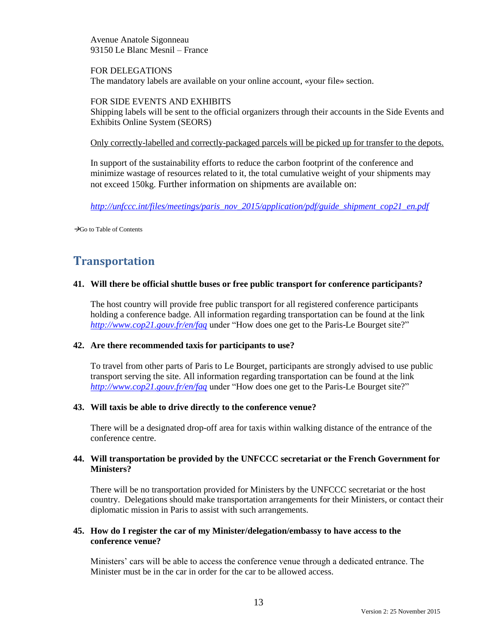Avenue Anatole Sigonneau 93150 Le Blanc Mesnil – France

FOR DELEGATIONS The mandatory labels are available on your online account, «your file» section.

### FOR SIDE EVENTS AND EXHIBITS

Shipping labels will be sent to the official organizers through their accounts in the Side Events and Exhibits Online System (SEORS)

### Only correctly-labelled and correctly-packaged parcels will be picked up for transfer to the depots.

In support of the sustainability efforts to reduce the carbon footprint of the conference and minimize wastage of resources related to it, the total cumulative weight of your shipments may not exceed 150kg. Further information on shipments are available on:

*[http://unfccc.int/files/meetings/paris\\_nov\\_2015/application/pdf/guide\\_shipment\\_cop21\\_en.pdf](http://unfccc.int/files/meetings/paris_nov_2015/application/pdf/guide_shipment_cop21_en.pdf)*

<span id="page-12-0"></span> $\rightarrow$ Go to [Table of Contents](#page-0-0)

## **Transportation**

### **41. Will there be official shuttle buses or free public transport for conference participants?**

The host country will provide free public transport for all registered conference participants holding a conference badge. All information regarding transportation can be found at the link *<http://www.cop21.gouv.fr/en/faq>* under "How does one get to the Paris-Le Bourget site?"

#### **42. Are there recommended taxis for participants to use?**

To travel from other parts of Paris to Le Bourget, participants are strongly advised to use public transport serving the site. All information regarding transportation can be found at the link *<http://www.cop21.gouv.fr/en/faq>* under "How does one get to the Paris-Le Bourget site?"

### **43. Will taxis be able to drive directly to the conference venue?**

There will be a designated drop-off area for taxis within walking distance of the entrance of the conference centre.

### **44. Will transportation be provided by the UNFCCC secretariat or the French Government for Ministers?**

There will be no transportation provided for Ministers by the UNFCCC secretariat or the host country. Delegations should make transportation arrangements for their Ministers, or contact their diplomatic mission in Paris to assist with such arrangements.

### **45. How do I register the car of my Minister/delegation/embassy to have access to the conference venue?**

Ministers' cars will be able to access the conference venue through a dedicated entrance. The Minister must be in the car in order for the car to be allowed access.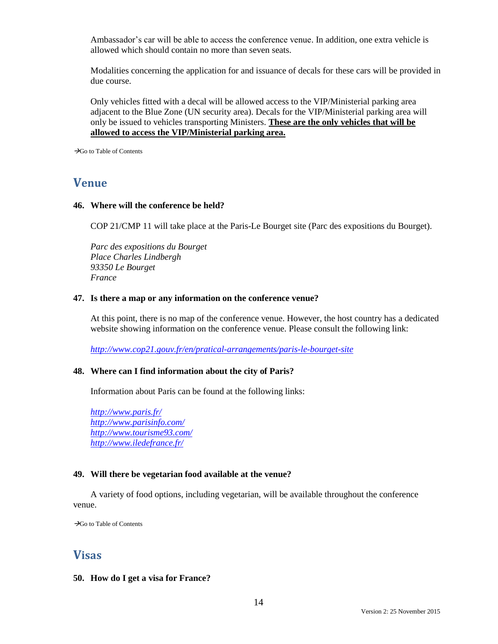Ambassador's car will be able to access the conference venue. In addition, one extra vehicle is allowed which should contain no more than seven seats.

Modalities concerning the application for and issuance of decals for these cars will be provided in due course.

Only vehicles fitted with a decal will be allowed access to the VIP/Ministerial parking area adjacent to the Blue Zone (UN security area). Decals for the VIP/Ministerial parking area will only be issued to vehicles transporting Ministers. **These are the only vehicles that will be allowed to access the VIP/Ministerial parking area.**

<span id="page-13-0"></span> $\rightarrow$ Go to [Table of Contents](#page-0-0)

### **Venue**

### **46. Where will the conference be held?**

COP 21/CMP 11 will take place at the Paris-Le Bourget site (Parc des expositions du Bourget).

*Parc des expositions du Bourget Place Charles Lindbergh 93350 Le Bourget France*

#### **47. Is there a map or any information on the conference venue?**

At this point, there is no map of the conference venue. However, the host country has a dedicated website showing information on the conference venue. Please consult the following link:

*<http://www.cop21.gouv.fr/en/pratical-arrangements/paris-le-bourget-site>*

#### **48. Where can I find information about the city of Paris?**

Information about Paris can be found at the following links:

*<http://www.paris.fr/> <http://www.parisinfo.com/> <http://www.tourisme93.com/> <http://www.iledefrance.fr/>*

#### **49. Will there be vegetarian food available at the venue?**

A variety of food options, including vegetarian, will be available throughout the conference venue.

<span id="page-13-1"></span> $\rightarrow$ Go to [Table of Contents](#page-0-0)

### **Visas**

### **50. How do I get a visa for France?**